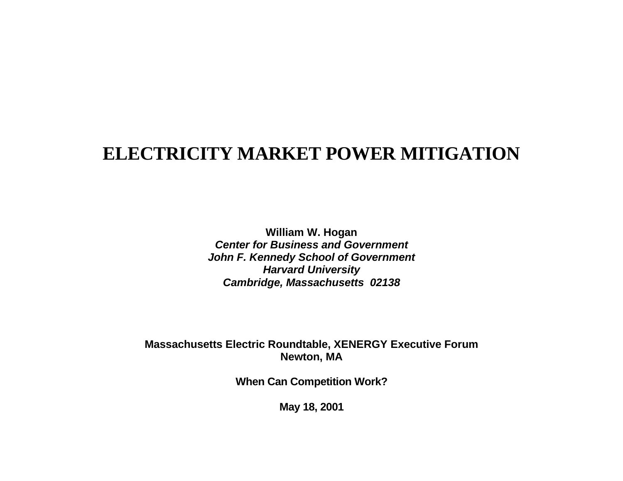# **ELECTRICITY MARKET POWER MITIGATION**

**William W. Hogan Center for Business and GovernmentJohn F. Kennedy School of Government Harvard University Cambridge, Massachusetts 02138**

## **Massachusetts Electric Roundtable, XENERGY Executive Forum Newton, MA**

**When Can Competition Work?**

**May 18, 2001**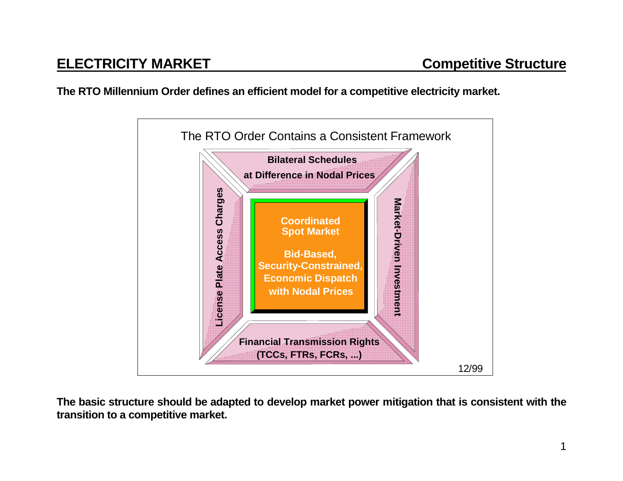**The RTO Millennium Order defines an efficient model for a competitive electricity market.**



**The basic structure should be adapted to develop market power mitigation that is consistent with the transition to a competitive market.**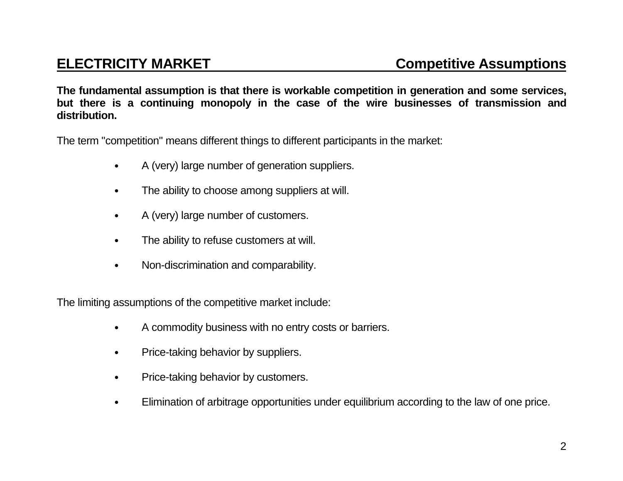**The fundamental assumption is that there is workable competition in generation and some services, but there is a continuing monopoly in the case of the wire businesses of transmission and distribution.**

The term "competition" means different things to different participants in the market:

- A (very) large number of generation suppliers.
- The ability to choose among suppliers at will.
- A (very) large number of customers.
- The ability to refuse customers at will.
- Non-discrimination and comparability.

The limiting assumptions of the competitive market include:

- A commodity business with no entry costs or barriers.
- Price-taking behavior by suppliers.
- Price-taking behavior by customers.
- Elimination of arbitrage opportunities under equilibrium according to the law of one price.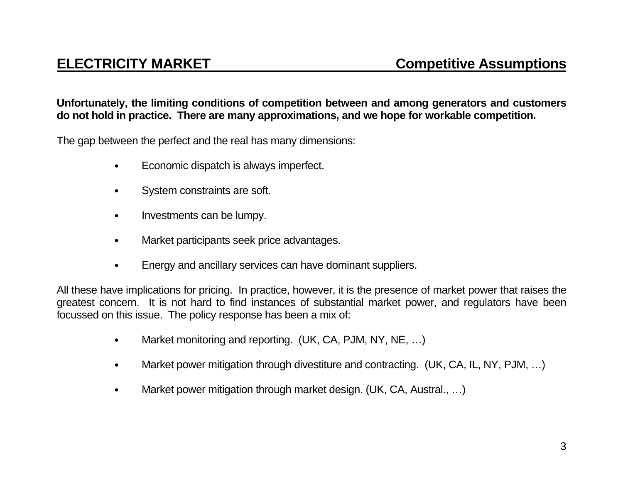## **Unfortunately, the limiting conditions of competition between and among generators and customers do not hold in practice. There are many approximations, and we hope for workable competition.**

The gap between the perfect and the real has many dimensions:

- Economic dispatch is always imperfect.
- System constraints are soft.
- Investments can be lumpy.
- Market participants seek price advantages.
- Energy and ancillary services can have dominant suppliers.

All these have implications for pricing. In practice, however, it is the presence of market power that raises the greatest concern. It is not hard to find instances of substantial market power, and regulators have been focussed on this issue. The policy response has been a mix of:

- Market monitoring and reporting. (UK, CA, PJM, NY, NE, ...)
- Market power mitigation through divestiture and contracting. (UK, CA, IL, NY, PJM, ...)
- Market power mitigation through market design. (UK, CA, Austral., ...)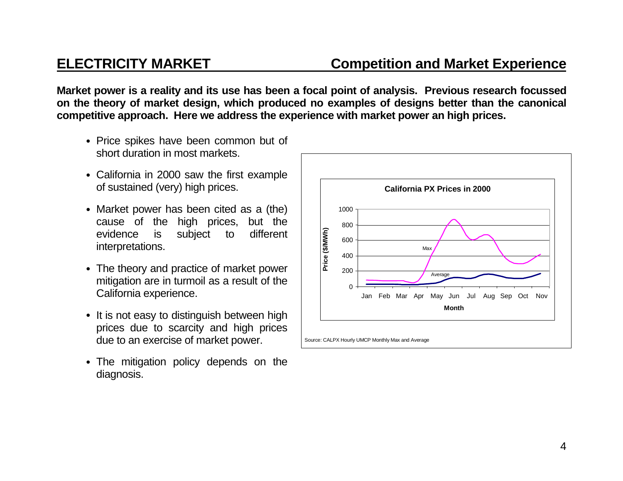**Market power is a reality and its use has been a focal point of analysis. Previous research focussed on the theory of market design, which produced no examples of designs better than the canonical competitive approach. Here we address the experience with market power an high prices.**

- Price spikes have been common but of short duration in most markets.
- California in 2000 saw the first example of sustained (very) high prices.
- Market power has been cited as a (the) cause of the high prices, but the evidence is subject to different interpretations.
- The theory and practice of market power mitigation are in turmoil as a result of the California experience.
- It is not easy to distinguish between high prices due to scarcity and high prices due to an exercise of market power.
- The mitigation policy depends on the diagnosis.

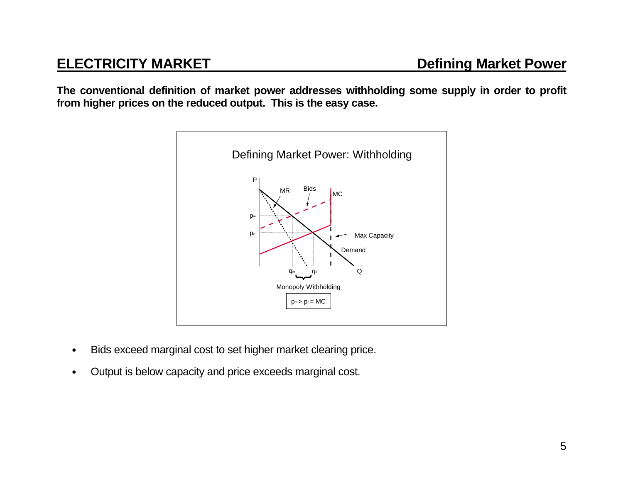**The conventional definition of market power addresses withholding some supply in order to profit from higher prices on the reduced output. This is the easy case.**



- Bids exceed marginal cost to set higher market clearing price.
- Output is below capacity and price exceeds marginal cost.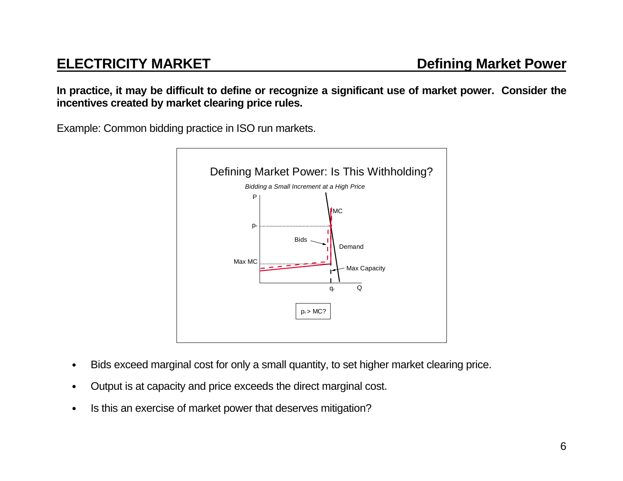**In practice, it may be difficult to define or recognize a significant use of market power. Consider the incentives created by market clearing price rules.**

Example: Common bidding practice in ISO run markets.



- Bids exceed marginal cost for only a small quantity, to set higher market clearing price.
- Output is at capacity and price exceeds the direct marginal cost.
- Is this an exercise of market power that deserves mitigation?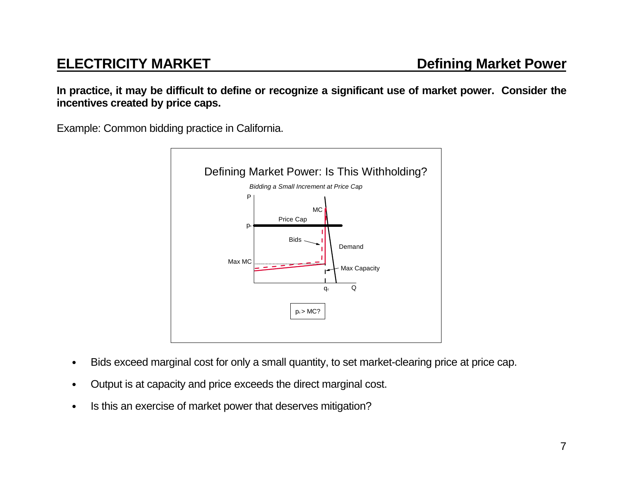**In practice, it may be difficult to define or recognize a significant use of market power. Consider the incentives created by price caps.**

Example: Common bidding practice in California.



- Bids exceed marginal cost for only a small quantity, to set market-clearing price at price cap.
- Output is at capacity and price exceeds the direct marginal cost.
- Is this an exercise of market power that deserves mitigation?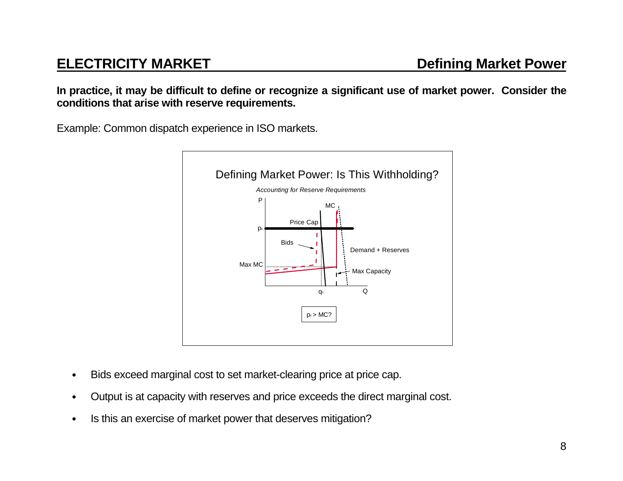**In practice, it may be difficult to define or recognize a significant use of market power. Consider the conditions that arise with reserve requirements.**

Example: Common dispatch experience in ISO markets.



- Bids exceed marginal cost to set market-clearing price at price cap.
- Output is at capacity with reserves and price exceeds the direct marginal cost.
- Is this an exercise of market power that deserves mitigation?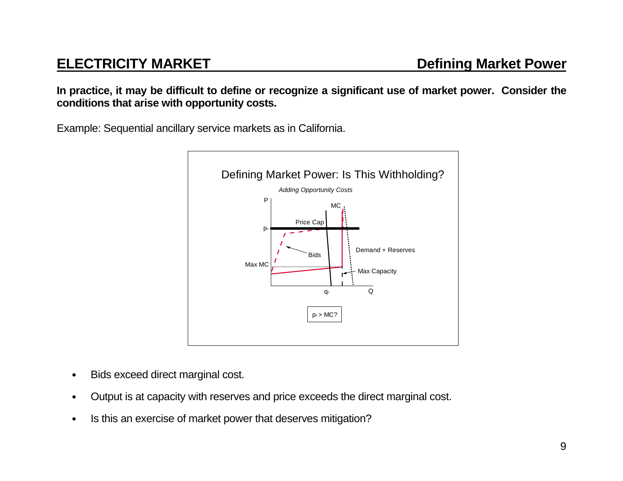**In practice, it may be difficult to define or recognize a significant use of market power. Consider the conditions that arise with opportunity costs.**

Example: Sequential ancillary service markets as in California.



- Bids exceed direct marginal cost.
- Output is at capacity with reserves and price exceeds the direct marginal cost.
- Is this an exercise of market power that deserves mitigation?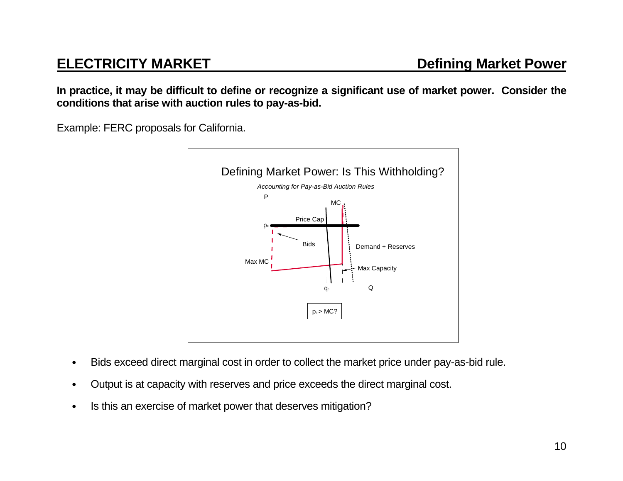**In practice, it may be difficult to define or recognize a significant use of market power. Consider the conditions that arise with auction rules to pay-as-bid.**

Example: FERC proposals for California.



- Bids exceed direct marginal cost in order to collect the market price under pay-as-bid rule.
- Output is at capacity with reserves and price exceeds the direct marginal cost.
- Is this an exercise of market power that deserves mitigation?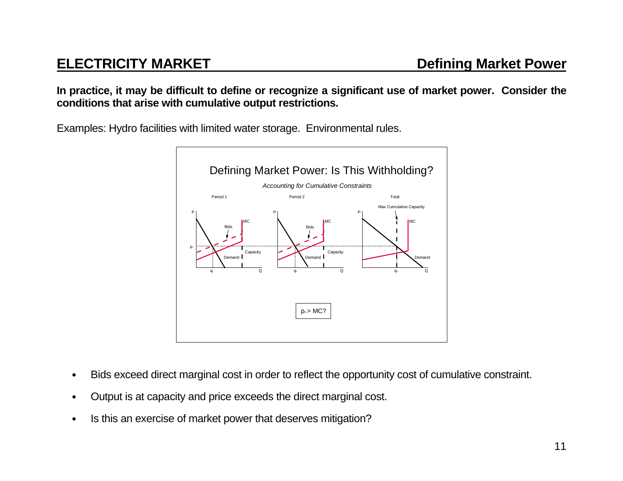**In practice, it may be difficult to define or recognize a significant use of market power. Consider the conditions that arise with cumulative output restrictions.**

Examples: Hydro facilities with limited water storage. Environmental rules.



- Bids exceed direct marginal cost in order to reflect the opportunity cost of cumulative constraint.
- Output is at capacity and price exceeds the direct marginal cost.
- Is this an exercise of market power that deserves mitigation?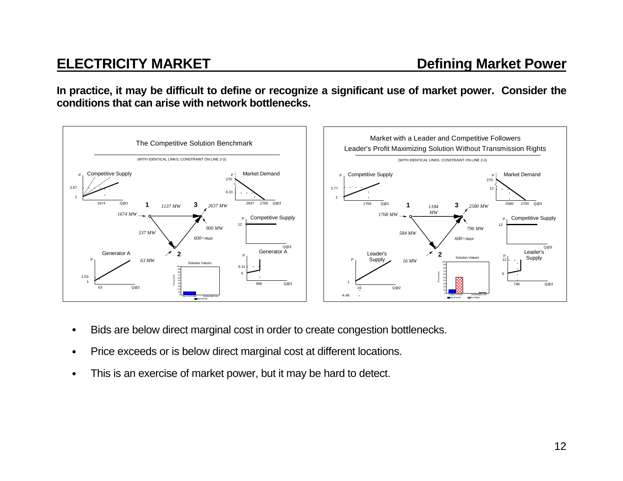**In practice, it may be difficult to define or recognize a significant use of market power. Consider the conditions that can arise with network bottlenecks.**



- Bids are below direct marginal cost in order to create congestion bottlenecks.
- Price exceeds or is below direct marginal cost at different locations.
- This is an exercise of market power, but it may be hard to detect.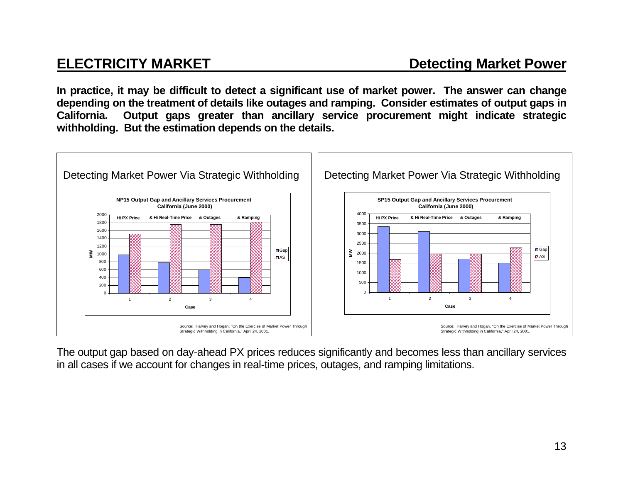**In practice, it may be difficult to detect a significant use of market power. The answer can change depending on the treatment of details like outages and ramping. Consider estimates of output gaps in California. Output gaps greater than ancillary service procurement might indicate strategic withholding. But the estimation depends on the details.**



The output gap based on day-ahead PX prices reduces significantly and becomes less than ancillary services in all cases if we account for changes in real-time prices, outages, and ramping limitations.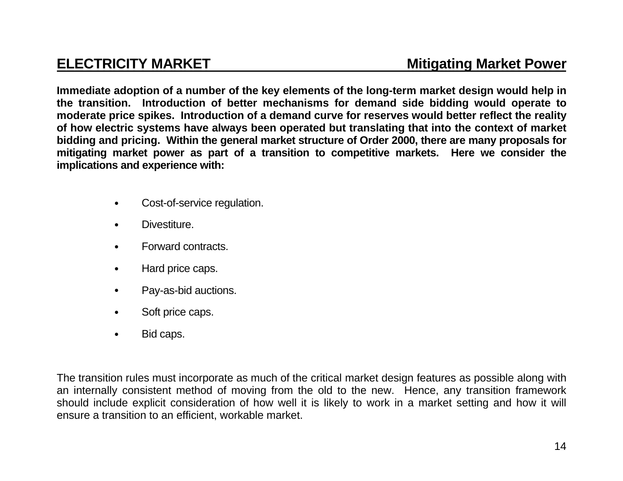**Immediate adoption of a number of the key elements of the long-term market design would help in the transition. Introduction of better mechanisms for demand side bidding would operate to moderate price spikes. Introduction of a demand curve for reserves would better reflect the reality of how electric systems have always been operated but translating that into the context of market bidding and pricing. Within the general market structure of Order 2000, there are many proposals for mitigating market power as part of a transition to competitive markets. Here we consider the implications and experience with:**

- Cost-of-service regulation.
- Divestiture.
- Forward contracts.
- Hard price caps.
- Pay-as-bid auctions.
- Soft price caps.
- Bid caps.

The transition rules must incorporate as much of the critical market design features as possible along with an internally consistent method of moving from the old to the new. Hence, any transition framework should include explicit consideration of how well it is likely to work in a market setting and how it will ensure a transition to an efficient, workable market.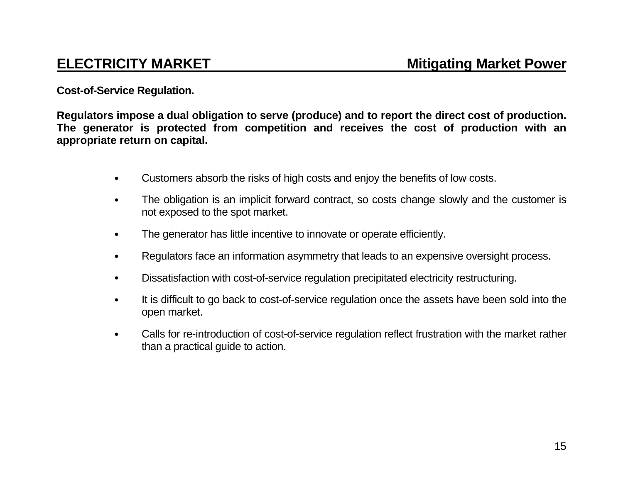**Cost-of-Service Regulation.**

**Regulators impose a dual obligation to serve (produce) and to report the direct cost of production. The generator is protected from competition and receives the cost of production with an appropriate return on capital.** 

- Customers absorb the risks of high costs and enjoy the benefits of low costs.
- The obligation is an implicit forward contract, so costs change slowly and the customer is not exposed to the spot market.
- The generator has little incentive to innovate or operate efficiently.
- Regulators face an information asymmetry that leads to an expensive oversight process.
- Dissatisfaction with cost-of-service regulation precipitated electricity restructuring.
- It is difficult to go back to cost-of-service regulation once the assets have been sold into the open market.
- Calls for re-introduction of cost-of-service regulation reflect frustration with the market rather than a practical guide to action.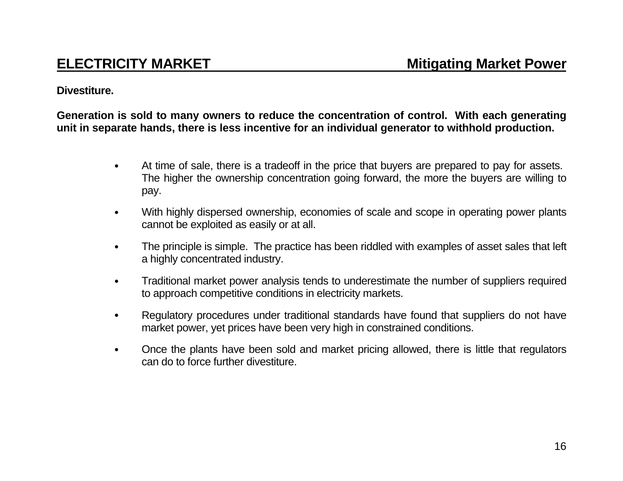## **Divestiture.**

**Generation is sold to many owners to reduce the concentration of control. With each generating unit in separate hands, there is less incentive for an individual generator to withhold production.** 

- At time of sale, there is a tradeoff in the price that buyers are prepared to pay for assets. The higher the ownership concentration going forward, the more the buyers are willing to pay.
- With highly dispersed ownership, economies of scale and scope in operating power plants cannot be exploited as easily or at all.
- The principle is simple. The practice has been riddled with examples of asset sales that left a highly concentrated industry.
- Traditional market power analysis tends to underestimate the number of suppliers required to approach competitive conditions in electricity markets.
- Regulatory procedures under traditional standards have found that suppliers do not have market power, yet prices have been very high in constrained conditions.
- Once the plants have been sold and market pricing allowed, there is little that regulators can do to force further divestiture.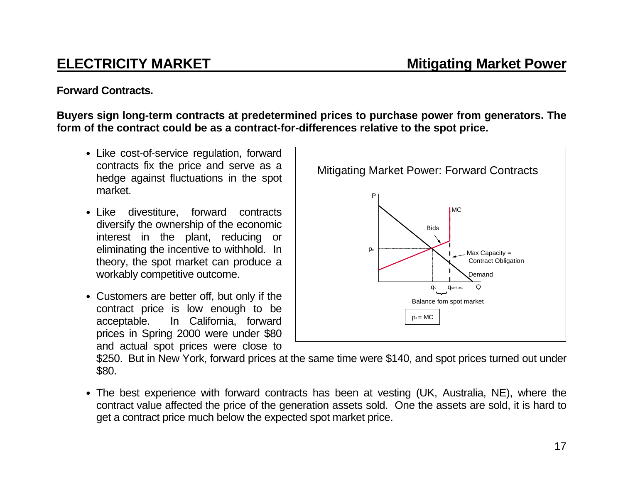## **Forward Contracts.**

**Buyers sign long-term contracts at predetermined prices to purchase power from generators. The form of the contract could be as a contract-for-differences relative to the spot price.**

- Like cost-of-service regulation, forward contracts fix the price and serve as a hedge against fluctuations in the spot market.
- Like divestiture, forward contracts diversify the ownership of the economic interest in the plant, reducing or eliminating the incentive to withhold. In theory, the spot market can produce a workably competitive outcome.
- Customers are better off, but only if the contract price is low enough to be acceptable. In California, forward prices in Spring 2000 were under \$80 and actual spot prices were close to



\$250. But in New York, forward prices at the same time were \$140, and spot prices turned out under \$80.

• The best experience with forward contracts has been at vesting (UK, Australia, NE), where the contract value affected the price of the generation assets sold. One the assets are sold, it is hard to get a contract price much below the expected spot market price.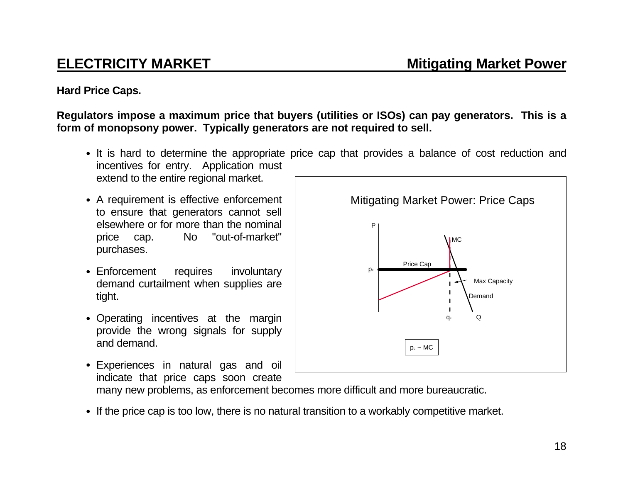## **Mitigating Market Power**

# **ELECTRICITY MARKET**

## **Hard Price Caps.**

## **Regulators impose a maximum price that buyers (utilities or ISOs) can pay generators. This is a form of monopsony power. Typically generators are not required to sell.**

- It is hard to determine the appropriate price cap that provides a balance of cost reduction and incentives for entry. Application must extend to the entire regional market.
- A requirement is effective enforcement to ensure that generators cannot sell elsewhere or for more than the nominalprice cap. No "out-of-market" purchases.
- Enforcement requires involuntary demand curtailment when supplies are tight.
- Operating incentives at the margin provide the wrong signals for supply and demand.
- Experiences in natural gas and oil indicate that price caps soon create

many new problems, as enforcement becomes more difficult and more bureaucratic.

• If the price cap is too low, there is no natural transition to a workably competitive market.

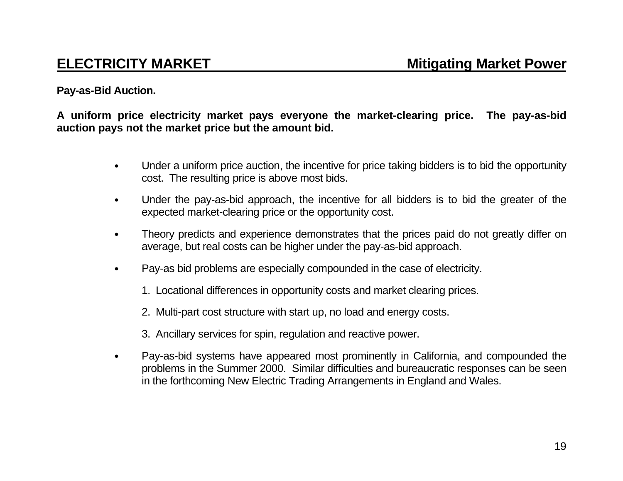## **Pay-as-Bid Auction.**

**A uniform price electricity market pays everyone the market-clearing price. The pay-as-bid auction pays not the market price but the amount bid.**

- Under a uniform price auction, the incentive for price taking bidders is to bid the opportunity cost. The resulting price is above most bids.
- Under the pay-as-bid approach, the incentive for all bidders is to bid the greater of the expected market-clearing price or the opportunity cost.
- Theory predicts and experience demonstrates that the prices paid do not greatly differ on average, but real costs can be higher under the pay-as-bid approach.
- Pay-as bid problems are especially compounded in the case of electricity.
	- 1. Locational differences in opportunity costs and market clearing prices.
	- 2. Multi-part cost structure with start up, no load and energy costs.
	- 3. Ancillary services for spin, regulation and reactive power.
- Pay-as-bid systems have appeared most prominently in California, and compounded the problems in the Summer 2000. Similar difficulties and bureaucratic responses can be seen in the forthcoming New Electric Trading Arrangements in England and Wales.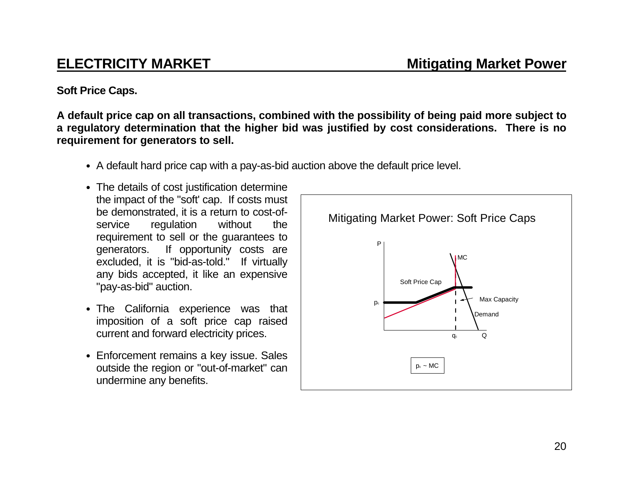**Mitigating Market Power**

# **ELECTRICITY MARKET**

**Soft Price Caps.**

**A default price cap on all transactions, combined with the possibility of being paid more subject to a regulatory determination that the higher bid was justified by cost considerations. There is no requirement for generators to sell.**

- A default hard price cap with a pay-as-bid auction above the default price level.
- The details of cost justification determine the impact of the "soft' cap. If costs must be demonstrated, it is a return to cost-ofservice regulation without the requirement to sell or the guarantees to generators. If opportunity costs are excluded, it is "bid-as-told." If virtually any bids accepted, it like an expensive "pay-as-bid" auction.
- The California experience was that imposition of a soft price cap raised current and forward electricity prices.
- Enforcement remains a key issue. Sales outside the region or "out-of-market" can undermine any benefits.

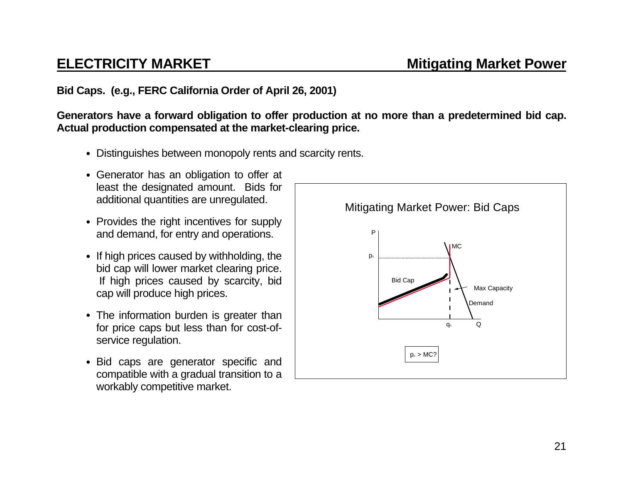## **Bid Caps. (e.g., FERC California Order of April 26, 2001)**

**Generators have a forward obligation to offer production at no more than a predetermined bid cap. Actual production compensated at the market-clearing price.**

- Distinguishes between monopoly rents and scarcity rents.
- Generator has an obligation to offer at least the designated amount. Bids for additional quantities are unregulated.
- Provides the right incentives for supply and demand, for entry and operations.
- If high prices caused by withholding, the bid cap will lower market clearing price. If high prices caused by scarcity, bid cap will produce high prices.
- The information burden is greater than for price caps but less than for cost-ofservice regulation.
- Bid caps are generator specific and compatible with a gradual transition to a workably competitive market.

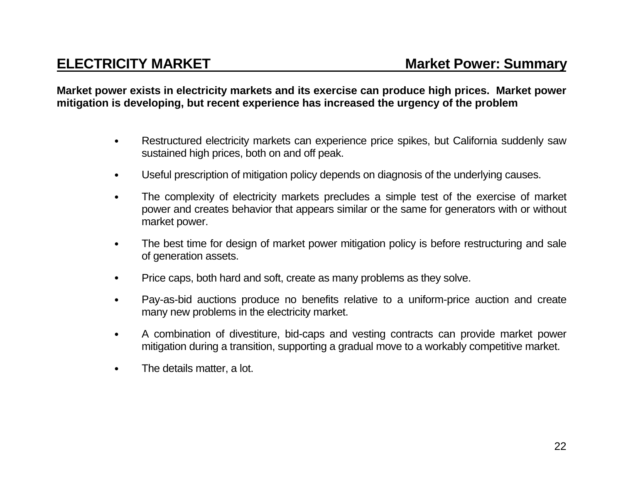**Market power exists in electricity markets and its exercise can produce high prices. Market power mitigation is developing, but recent experience has increased the urgency of the problem**

- Restructured electricity markets can experience price spikes, but California suddenly saw sustained high prices, both on and off peak.
- Useful prescription of mitigation policy depends on diagnosis of the underlying causes.
- The complexity of electricity markets precludes a simple test of the exercise of market power and creates behavior that appears similar or the same for generators with or without market power.
- The best time for design of market power mitigation policy is before restructuring and sale of generation assets.
- Price caps, both hard and soft, create as many problems as they solve.
- Pay-as-bid auctions produce no benefits relative to a uniform-price auction and create many new problems in the electricity market.
- A combination of divestiture, bid-caps and vesting contracts can provide market power mitigation during a transition, supporting a gradual move to a workably competitive market.
- The details matter, a lot.